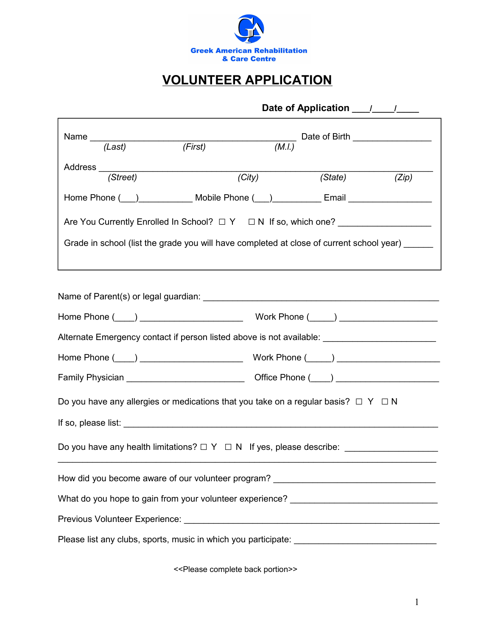

## **VOLUNTEER APPLICATION**

| Name $\frac{1}{(Last)}$                                                                                         | (First)                                                                                                                                                                                                                                                   | Date of Birth $\overline{(M.l.)}$ |  |  |  |  |  |  |  |  |
|-----------------------------------------------------------------------------------------------------------------|-----------------------------------------------------------------------------------------------------------------------------------------------------------------------------------------------------------------------------------------------------------|-----------------------------------|--|--|--|--|--|--|--|--|
| (Street)                                                                                                        | $\overline{(City)}$                                                                                                                                                                                                                                       | (State) (Zip)                     |  |  |  |  |  |  |  |  |
|                                                                                                                 | Home Phone ( ) Mobile Phone ( ) [ Email [ Thone C ] [ Email [ Thomas Email ] [ Thomas Email $\sim$ [ Email $\sim$ 100 $\sim$ 100 $\sim$ 100 $\sim$ 100 $\sim$ 100 $\sim$ 100 $\sim$ 100 $\sim$ 100 $\sim$ 100 $\sim$ 100 $\sim$ 100 $\sim$ 100 $\sim$ 100 |                                   |  |  |  |  |  |  |  |  |
| Are You Currently Enrolled In School? $\square Y \square N$ If so, which one? ________________                  |                                                                                                                                                                                                                                                           |                                   |  |  |  |  |  |  |  |  |
| Grade in school (list the grade you will have completed at close of current school year) _____                  |                                                                                                                                                                                                                                                           |                                   |  |  |  |  |  |  |  |  |
| Name of Parent(s) or legal guardian: Name of Parents and Security and Security and Security and Security and S  |                                                                                                                                                                                                                                                           |                                   |  |  |  |  |  |  |  |  |
| Alternate Emergency contact if person listed above is not available: _______________________________            |                                                                                                                                                                                                                                                           |                                   |  |  |  |  |  |  |  |  |
| Home Phone (Company of Company of Company View Phone (Company of Company of Company of Company of Company of Co |                                                                                                                                                                                                                                                           |                                   |  |  |  |  |  |  |  |  |
|                                                                                                                 |                                                                                                                                                                                                                                                           |                                   |  |  |  |  |  |  |  |  |
| Do you have any allergies or medications that you take on a regular basis? $\Box$ Y $\Box$ N                    |                                                                                                                                                                                                                                                           |                                   |  |  |  |  |  |  |  |  |
|                                                                                                                 |                                                                                                                                                                                                                                                           |                                   |  |  |  |  |  |  |  |  |
|                                                                                                                 |                                                                                                                                                                                                                                                           |                                   |  |  |  |  |  |  |  |  |
| How did you become aware of our volunteer program? _____________________________                                |                                                                                                                                                                                                                                                           |                                   |  |  |  |  |  |  |  |  |
| What do you hope to gain from your volunteer experience? ________________________                               |                                                                                                                                                                                                                                                           |                                   |  |  |  |  |  |  |  |  |
|                                                                                                                 |                                                                                                                                                                                                                                                           |                                   |  |  |  |  |  |  |  |  |
|                                                                                                                 |                                                                                                                                                                                                                                                           |                                   |  |  |  |  |  |  |  |  |

<<Please complete back portion>>